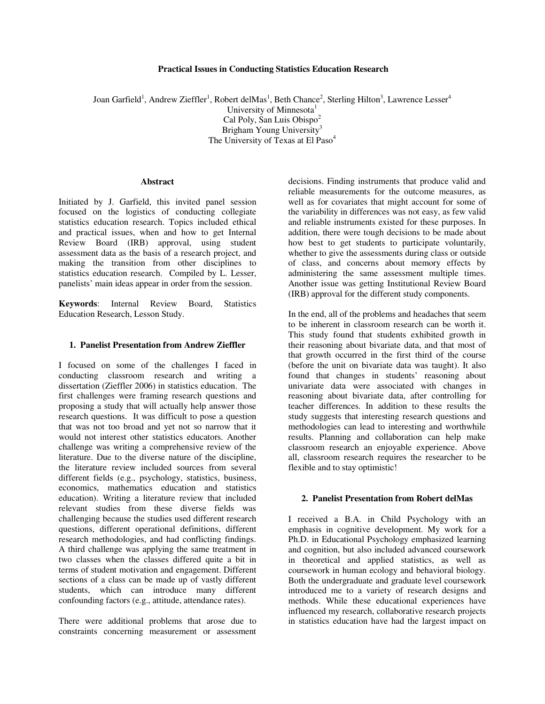### **Practical Issues in Conducting Statistics Education Research**

Joan Garfield<sup>1</sup>, Andrew Zieffler<sup>1</sup>, Robert delMas<sup>1</sup>, Beth Chance<sup>2</sup>, Sterling Hilton<sup>3</sup>, Lawrence Lesser<sup>4</sup> University of Minnesota $<sup>1</sup>$ </sup> Cal Poly, San Luis Obispo<sup>2</sup> Brigham Young University<sup>3</sup> The University of Texas at El Paso<sup>4</sup>

## **Abstract**

Initiated by J. Garfield, this invited panel session focused on the logistics of conducting collegiate statistics education research. Topics included ethical and practical issues, when and how to get Internal Review Board (IRB) approval, using student assessment data as the basis of a research project, and making the transition from other disciplines to statistics education research. Compiled by L. Lesser, panelists' main ideas appear in order from the session.

**Keywords**: Internal Review Board, Statistics Education Research, Lesson Study.

#### **1. Panelist Presentation from Andrew Zieffler**

I focused on some of the challenges I faced in conducting classroom research and writing a dissertation (Zieffler 2006) in statistics education. The first challenges were framing research questions and proposing a study that will actually help answer those research questions. It was difficult to pose a question that was not too broad and yet not so narrow that it would not interest other statistics educators. Another challenge was writing a comprehensive review of the literature. Due to the diverse nature of the discipline, the literature review included sources from several different fields (e.g., psychology, statistics, business, economics, mathematics education and statistics education). Writing a literature review that included relevant studies from these diverse fields was challenging because the studies used different research questions, different operational definitions, different research methodologies, and had conflicting findings. A third challenge was applying the same treatment in two classes when the classes differed quite a bit in terms of student motivation and engagement. Different sections of a class can be made up of vastly different students, which can introduce many different confounding factors (e.g., attitude, attendance rates).

There were additional problems that arose due to constraints concerning measurement or assessment

decisions. Finding instruments that produce valid and reliable measurements for the outcome measures, as well as for covariates that might account for some of the variability in differences was not easy, as few valid and reliable instruments existed for these purposes. In addition, there were tough decisions to be made about how best to get students to participate voluntarily, whether to give the assessments during class or outside of class, and concerns about memory effects by administering the same assessment multiple times. Another issue was getting Institutional Review Board (IRB) approval for the different study components.

In the end, all of the problems and headaches that seem to be inherent in classroom research can be worth it. This study found that students exhibited growth in their reasoning about bivariate data, and that most of that growth occurred in the first third of the course (before the unit on bivariate data was taught). It also found that changes in students' reasoning about univariate data were associated with changes in reasoning about bivariate data, after controlling for teacher differences. In addition to these results the study suggests that interesting research questions and methodologies can lead to interesting and worthwhile results. Planning and collaboration can help make classroom research an enjoyable experience. Above all, classroom research requires the researcher to be flexible and to stay optimistic!

#### **2. Panelist Presentation from Robert delMas**

I received a B.A. in Child Psychology with an emphasis in cognitive development. My work for a Ph.D. in Educational Psychology emphasized learning and cognition, but also included advanced coursework in theoretical and applied statistics, as well as coursework in human ecology and behavioral biology. Both the undergraduate and graduate level coursework introduced me to a variety of research designs and methods. While these educational experiences have influenced my research, collaborative research projects in statistics education have had the largest impact on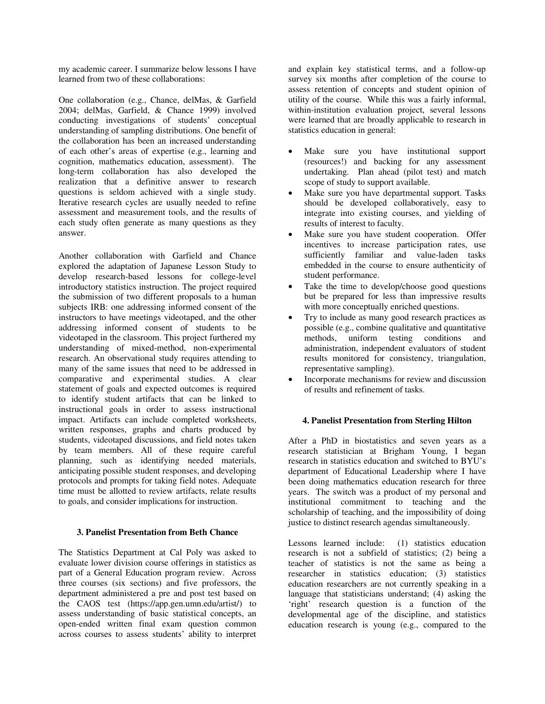my academic career. I summarize below lessons I have learned from two of these collaborations:

One collaboration (e.g., Chance, delMas, & Garfield 2004; delMas, Garfield, & Chance 1999) involved conducting investigations of students' conceptual understanding of sampling distributions. One benefit of the collaboration has been an increased understanding of each other's areas of expertise (e.g., learning and cognition, mathematics education, assessment). The long-term collaboration has also developed the realization that a definitive answer to research questions is seldom achieved with a single study. Iterative research cycles are usually needed to refine assessment and measurement tools, and the results of each study often generate as many questions as they answer.

Another collaboration with Garfield and Chance explored the adaptation of Japanese Lesson Study to develop research-based lessons for college-level introductory statistics instruction. The project required the submission of two different proposals to a human subjects IRB: one addressing informed consent of the instructors to have meetings videotaped, and the other addressing informed consent of students to be videotaped in the classroom. This project furthered my understanding of mixed-method, non-experimental research. An observational study requires attending to many of the same issues that need to be addressed in comparative and experimental studies. A clear statement of goals and expected outcomes is required to identify student artifacts that can be linked to instructional goals in order to assess instructional impact. Artifacts can include completed worksheets, written responses, graphs and charts produced by students, videotaped discussions, and field notes taken by team members. All of these require careful planning, such as identifying needed materials, anticipating possible student responses, and developing protocols and prompts for taking field notes. Adequate time must be allotted to review artifacts, relate results to goals, and consider implications for instruction.

# **3. Panelist Presentation from Beth Chance**

The Statistics Department at Cal Poly was asked to evaluate lower division course offerings in statistics as part of a General Education program review. Across three courses (six sections) and five professors, the department administered a pre and post test based on the CAOS test (https://app.gen.umn.edu/artist/) to assess understanding of basic statistical concepts, an open-ended written final exam question common across courses to assess students' ability to interpret

and explain key statistical terms, and a follow-up survey six months after completion of the course to assess retention of concepts and student opinion of utility of the course. While this was a fairly informal, within-institution evaluation project, several lessons were learned that are broadly applicable to research in statistics education in general:

- Make sure you have institutional support (resources!) and backing for any assessment undertaking. Plan ahead (pilot test) and match scope of study to support available.
- Make sure you have departmental support. Tasks should be developed collaboratively, easy to integrate into existing courses, and yielding of results of interest to faculty.
- Make sure you have student cooperation. Offer incentives to increase participation rates, use sufficiently familiar and value-laden tasks embedded in the course to ensure authenticity of student performance.
- Take the time to develop/choose good questions but be prepared for less than impressive results with more conceptually enriched questions.
- Try to include as many good research practices as possible (e.g., combine qualitative and quantitative methods, uniform testing conditions and administration, independent evaluators of student results monitored for consistency, triangulation, representative sampling).
- Incorporate mechanisms for review and discussion of results and refinement of tasks.

# **4. Panelist Presentation from Sterling Hilton**

After a PhD in biostatistics and seven years as a research statistician at Brigham Young, I began research in statistics education and switched to BYU's department of Educational Leadership where I have been doing mathematics education research for three years. The switch was a product of my personal and institutional commitment to teaching and the scholarship of teaching, and the impossibility of doing justice to distinct research agendas simultaneously.

Lessons learned include: (1) statistics education research is not a subfield of statistics; (2) being a teacher of statistics is not the same as being a researcher in statistics education; (3) statistics education researchers are not currently speaking in a language that statisticians understand; (4) asking the 'right' research question is a function of the developmental age of the discipline, and statistics education research is young (e.g., compared to the